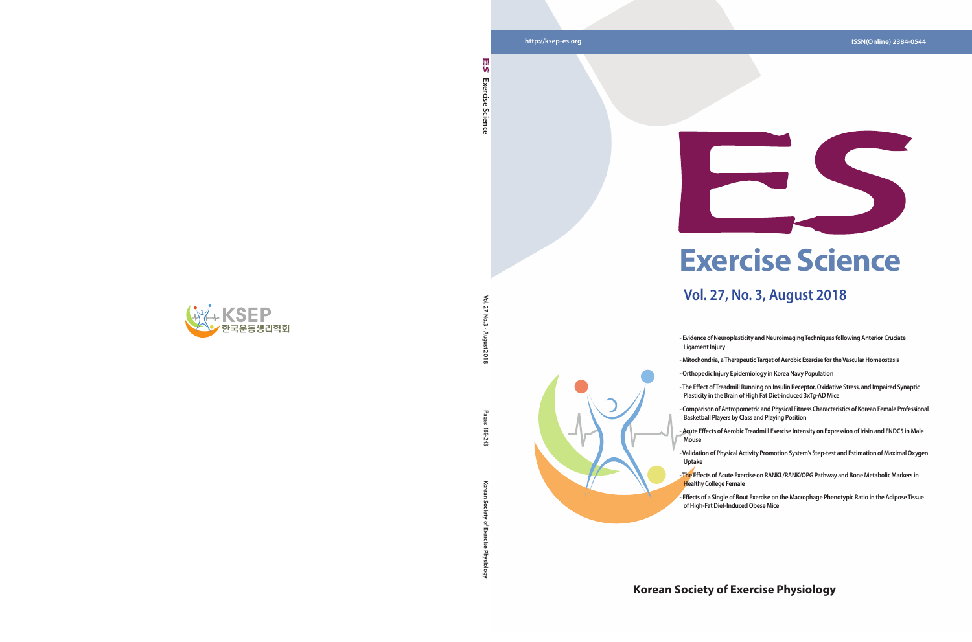## **Korean Society of Exercise Physiology**





Vol. 27 **Vol. 27 No. 3 · August 2018**  $\overline{5}$ 

12018

- Pages
- **Korean Society of Exercise Physiology** Pages 169-243 169-243
- ਨ

Ğ

## **Exercise Science**

## **Vol. 27, No. 3, August 2018**

**- Evidence of Neuroplasticity and Neuroimaging Techniques following Anterior Cruciate** 

- **Orthopedic Injury Epidemiology in Korea Navy Population**
- **The Effect of Treadmill Running on Insulin Receptor, Oxidative Stress, and Impaired Synaptic Plasticity in the Brain of High Fat Diet-induced 3xTg-AD Mice**
- **Acute Effects of Aerobic Treadmill Exercise Intensity on Expression of Irisin and FNDC5 in Male**
- **Validation of Physical Activity Promotion System's Step-test and Estimation of Maximal Oxygen**



- **Ligament Injury**
- **Mitochondria, a Therapeutic Target of Aerobic Exercise for the Vascular Homeostasis**
- 
- 
- **Comparison of Antropometric and Physical Fitness Characteristics of Korean Female Professional Basketball Players by Class and Playing Position**
- **Mouse**
- **Uptake**
- **The Effects of Acute Exercise on RANKL/RANK/OPG Pathway and Bone Metabolic Markers in Healthy College Female**
- **Effects of a Single of Bout Exercise on the Macrophage Phenotypic Ratio in the Adipose Tissue of High-Fat Diet-Induced Obese Mice**